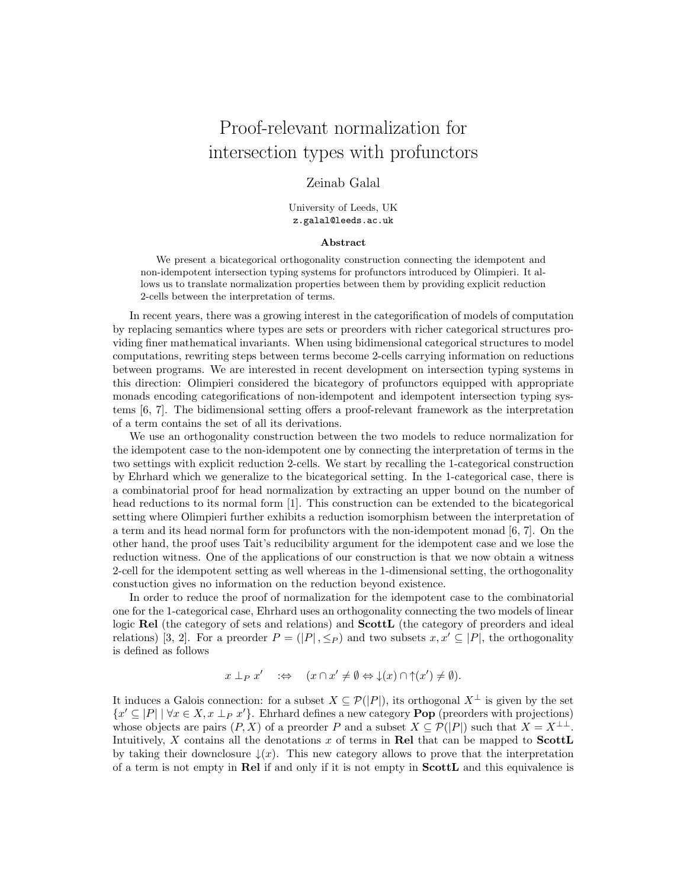## Proof-relevant normalization for intersection types with profunctors

## Zeinab Galal

University of Leeds, UK z.galal@leeds.ac.uk

## Abstract

We present a bicategorical orthogonality construction connecting the idempotent and non-idempotent intersection typing systems for profunctors introduced by Olimpieri. It allows us to translate normalization properties between them by providing explicit reduction 2-cells between the interpretation of terms.

In recent years, there was a growing interest in the categorification of models of computation by replacing semantics where types are sets or preorders with richer categorical structures providing finer mathematical invariants. When using bidimensional categorical structures to model computations, rewriting steps between terms become 2-cells carrying information on reductions between programs. We are interested in recent development on intersection typing systems in this direction: Olimpieri considered the bicategory of profunctors equipped with appropriate monads encoding categorifications of non-idempotent and idempotent intersection typing systems [\[6,](#page-2-0) [7\]](#page-2-1). The bidimensional setting offers a proof-relevant framework as the interpretation of a term contains the set of all its derivations.

We use an orthogonality construction between the two models to reduce normalization for the idempotent case to the non-idempotent one by connecting the interpretation of terms in the two settings with explicit reduction 2-cells. We start by recalling the 1-categorical construction by Ehrhard which we generalize to the bicategorical setting. In the 1-categorical case, there is a combinatorial proof for head normalization by extracting an upper bound on the number of head reductions to its normal form [\[1\]](#page-2-2). This construction can be extended to the bicategorical setting where Olimpieri further exhibits a reduction isomorphism between the interpretation of a term and its head normal form for profunctors with the non-idempotent monad [\[6,](#page-2-0) [7\]](#page-2-1). On the other hand, the proof uses Tait's reducibility argument for the idempotent case and we lose the reduction witness. One of the applications of our construction is that we now obtain a witness 2-cell for the idempotent setting as well whereas in the 1-dimensional setting, the orthogonality constuction gives no information on the reduction beyond existence.

In order to reduce the proof of normalization for the idempotent case to the combinatorial one for the 1-categorical case, Ehrhard uses an orthogonality connecting the two models of linear logic Rel (the category of sets and relations) and **ScottL** (the category of preorders and ideal relations) [\[3,](#page-2-3) [2\]](#page-2-4). For a preorder  $P = (|P|, \leq_P)$  and two subsets  $x, x' \subseteq |P|$ , the orthogonality is defined as follows

$$
x \perp_P x' \quad : \Leftrightarrow \quad (x \cap x' \neq \emptyset \Leftrightarrow \downarrow(x) \cap \uparrow(x') \neq \emptyset).
$$

It induces a Galois connection: for a subset  $X \subseteq \mathcal{P}(|P|)$ , its orthogonal  $X^{\perp}$  is given by the set  $\{x' \subseteq |P| \mid \forall x \in X, x \perp_P x'\}.$  Ehrhard defines a new category **Pop** (preorders with projections) whose objects are pairs  $(P, X)$  of a preorder P and a subset  $X \subseteq \mathcal{P}(|P|)$  such that  $X = X^{\perp \perp}$ . Intuitively,  $X$  contains all the denotations  $x$  of terms in Rel that can be mapped to  $$ by taking their downclosure  $\downarrow(x)$ . This new category allows to prove that the interpretation of a term is not empty in Rel if and only if it is not empty in ScottL and this equivalence is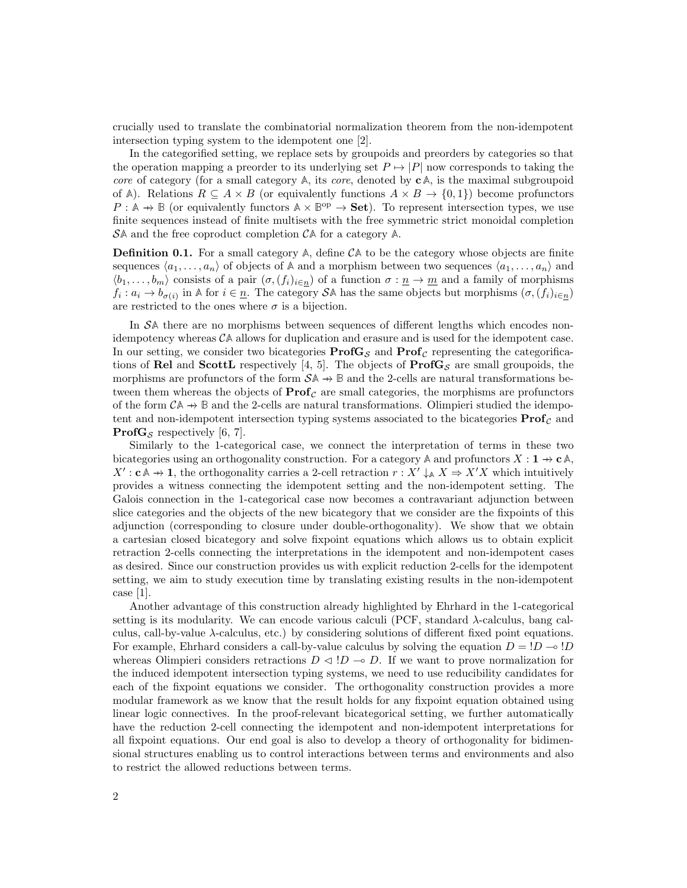crucially used to translate the combinatorial normalization theorem from the non-idempotent intersection typing system to the idempotent one [\[2\]](#page-2-4).

In the categorified setting, we replace sets by groupoids and preorders by categories so that the operation mapping a preorder to its underlying set  $P \mapsto |P|$  now corresponds to taking the core of category (for a small category  $\mathbb{A}$ , its *core*, denoted by  $\mathbf{c}\mathbb{A}$ , is the maximal subgroupoid of A). Relations  $R \subseteq A \times B$  (or equivalently functions  $A \times B \to \{0,1\}$ ) become profunctors  $P: \mathbb{A} \to \mathbb{B}$  (or equivalently functors  $\mathbb{A} \times \mathbb{B}^{\text{op}} \to \text{Set}$ ). To represent intersection types, we use finite sequences instead of finite multisets with the free symmetric strict monoidal completion S**A** and the free coproduct completion C**A** for a category **A**.

**Definition 0.1.** For a small category  $A$ , define  $C A$  to be the category whose objects are finite sequences  $\langle a_1, \ldots, a_n \rangle$  of objects of A and a morphism between two sequences  $\langle a_1, \ldots, a_n \rangle$  and  $\langle b_1, \ldots, b_m \rangle$  consists of a pair  $(\sigma, (f_i)_{i\in n})$  of a function  $\sigma : \underline{n} \to \underline{m}$  and a family of morphisms  $f_i: a_i \to b_{\sigma(i)}$  in A for  $i \in \underline{n}$ . The category SA has the same objects but morphisms  $(\sigma, (f_i)_{i \in \underline{n}})$ are restricted to the ones where  $\sigma$  is a bijection.

In S**A** there are no morphisms between sequences of different lengths which encodes nonidempotency whereas  $\mathcal{C}$ A allows for duplication and erasure and is used for the idempotent case. In our setting, we consider two bicategories  $\text{Prof}_{\mathcal{S}}$  and  $\text{Prof}_{\mathcal{C}}$  representing the categorifica-tions of Rel and ScottL respectively [\[4,](#page-2-5) [5\]](#page-2-6). The objects of  $\text{ProfG}_{\mathcal{S}}$  are small groupoids, the morphisms are profunctors of the form  $S\mathbb{A} \to \mathbb{B}$  and the 2-cells are natural transformations between them whereas the objects of  $\text{Prof}_\mathcal{C}$  are small categories, the morphisms are profunctors of the form  $CA \rightarrow \mathbb{B}$  and the 2-cells are natural transformations. Olimpieri studied the idempotent and non-idempotent intersection typing systems associated to the bicategories  $\text{Prof}_\mathcal{C}$  and **ProfG**<sub>S</sub> respectively [\[6,](#page-2-0) [7\]](#page-2-1).

Similarly to the 1-categorical case, we connect the interpretation of terms in these two bicategories using an orthogonality construction. For a category  $\mathbb{A}$  and profunctors  $X : \mathbf{1} \to \mathbf{c} \mathbb{A}$ ,  $X':$  **c**  $A \rightarrow 1$ , the orthogonality carries a 2-cell retraction  $r : X' \downarrow_A X \Rightarrow X'X$  which intuitively provides a witness connecting the idempotent setting and the non-idempotent setting. The Galois connection in the 1-categorical case now becomes a contravariant adjunction between slice categories and the objects of the new bicategory that we consider are the fixpoints of this adjunction (corresponding to closure under double-orthogonality). We show that we obtain a cartesian closed bicategory and solve fixpoint equations which allows us to obtain explicit retraction 2-cells connecting the interpretations in the idempotent and non-idempotent cases as desired. Since our construction provides us with explicit reduction 2-cells for the idempotent setting, we aim to study execution time by translating existing results in the non-idempotent case [\[1\]](#page-2-2).

Another advantage of this construction already highlighted by Ehrhard in the 1-categorical setting is its modularity. We can encode various calculi (PCF, standard  $\lambda$ -calculus, bang calculus, call-by-value  $\lambda$ -calculus, etc.) by considering solutions of different fixed point equations. For example, Ehrhard considers a call-by-value calculus by solving the equation  $D = I D \sim I D$ whereas Olimpieri considers retractions  $D \triangleleft B \rightarrow D$ . If we want to prove normalization for the induced idempotent intersection typing systems, we need to use reducibility candidates for each of the fixpoint equations we consider. The orthogonality construction provides a more modular framework as we know that the result holds for any fixpoint equation obtained using linear logic connectives. In the proof-relevant bicategorical setting, we further automatically have the reduction 2-cell connecting the idempotent and non-idempotent interpretations for all fixpoint equations. Our end goal is also to develop a theory of orthogonality for bidimensional structures enabling us to control interactions between terms and environments and also to restrict the allowed reductions between terms.